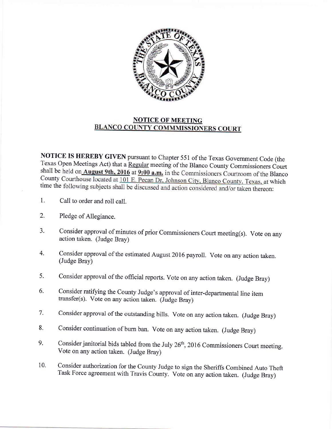

## **NOTICE OF MEETING<br>BLANCO COUNTY COMMMISSIONERS COURT**

NOTICE IS HEREBY GIVEN pursuant to Chapter 551 of the Texas Government Code (the Texas Open Meetings Act) that a Regular meeting of the Blanco County Commissioners Court shall be held on **August 9th, 2016** at **9:00 a.m.** in the Commissioners Courtroom of the Blanco County Courthouse located at 101 E. Pecan Dr, Johnson City, Blanco County, Texas, at which time the following subjects shall be discussed and action considered and/or taken thereon:

- 1. Call to order and roll call.
- 2. Pledge of Allegiance.
- 3. Consider approval of minutes of prior Commissioners Court meeting(s). Vote on any action taken. (Judge Bray)
- 4. Consider approval of the estimated August 2016 payroll. Vote on any action taken. (Judge Bray)
- Consider approval of the official reports. Vote on any action taken. (Judge Bray) 5.
- Consider ratifying the County Judge's approval of inter-departmental line item transfer(s). Vote on any action taken. (Judge Bray) 6.
- Consider approval of the outstanding bills. Vote on any action taken. (Judge Bray) 7.
- consider continuation of burn ban. vote on any action taken. (Judge Bray) 8.
- Consider janitorial bids tabled from the July 26<sup>th</sup>, 2016 Commissioners Court meeting. Vote on any action taken. (Judge Bray) 9.
- Consider authorization for the County Judge to sign the Sheriffs Combined Auto Theft Task Force agreement with Travis county. vote on any action taken. (Judge Bray) 10.